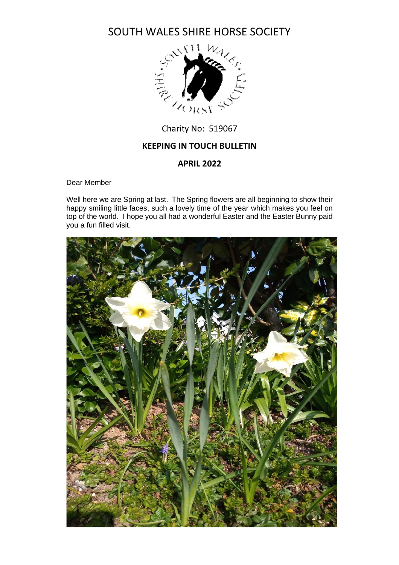

# **KEEPING IN TOUCH BULLETIN**

## **APRIL 2022**

Dear Member

Well here we are Spring at last. The Spring flowers are all beginning to show their happy smiling little faces, such a lovely time of the year which makes you feel on top of the world. I hope you all had a wonderful Easter and the Easter Bunny paid you a fun filled visit.

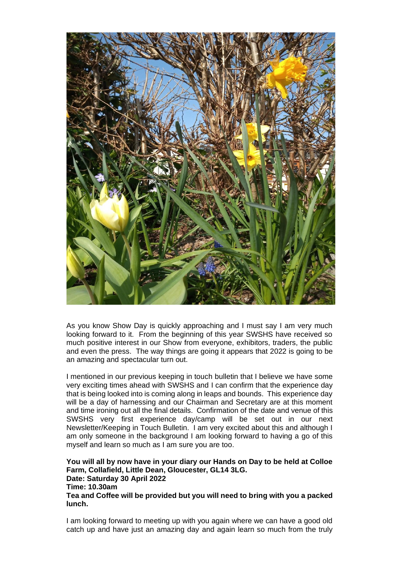

As you know Show Day is quickly approaching and I must say I am very much looking forward to it. From the beginning of this year SWSHS have received so much positive interest in our Show from everyone, exhibitors, traders, the public and even the press. The way things are going it appears that 2022 is going to be an amazing and spectacular turn out.

I mentioned in our previous keeping in touch bulletin that I believe we have some very exciting times ahead with SWSHS and I can confirm that the experience day that is being looked into is coming along in leaps and bounds. This experience day will be a day of harnessing and our Chairman and Secretary are at this moment and time ironing out all the final details. Confirmation of the date and venue of this SWSHS very first experience day/camp will be set out in our next Newsletter/Keeping in Touch Bulletin. I am very excited about this and although I am only someone in the background I am looking forward to having a go of this myself and learn so much as I am sure you are too.

**You will all by now have in your diary our Hands on Day to be held at Colloe Farm, Collafield, Little Dean, Gloucester, GL14 3LG. Date: Saturday 30 April 2022 Time: 10.30am Tea and Coffee will be provided but you will need to bring with you a packed lunch.**

I am looking forward to meeting up with you again where we can have a good old catch up and have just an amazing day and again learn so much from the truly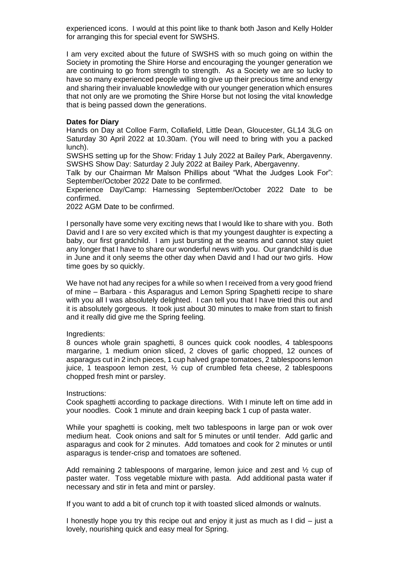experienced icons. I would at this point like to thank both Jason and Kelly Holder for arranging this for special event for SWSHS.

I am very excited about the future of SWSHS with so much going on within the Society in promoting the Shire Horse and encouraging the younger generation we are continuing to go from strength to strength. As a Society we are so lucky to have so many experienced people willing to give up their precious time and energy and sharing their invaluable knowledge with our younger generation which ensures that not only are we promoting the Shire Horse but not losing the vital knowledge that is being passed down the generations.

### **Dates for Diary**

Hands on Day at Colloe Farm, Collafield, Little Dean, Gloucester, GL14 3LG on Saturday 30 April 2022 at 10.30am. (You will need to bring with you a packed lunch).

SWSHS setting up for the Show: Friday 1 July 2022 at Bailey Park, Abergavenny. SWSHS Show Day: Saturday 2 July 2022 at Bailey Park, Abergavenny.

Talk by our Chairman Mr Malson Phillips about "What the Judges Look For": September/October 2022 Date to be confirmed.

Experience Day/Camp: Harnessing September/October 2022 Date to be confirmed.

2022 AGM Date to be confirmed.

I personally have some very exciting news that I would like to share with you. Both David and I are so very excited which is that my youngest daughter is expecting a baby, our first grandchild. I am just bursting at the seams and cannot stay quiet any longer that I have to share our wonderful news with you. Our grandchild is due in June and it only seems the other day when David and I had our two girls. How time goes by so quickly.

We have not had any recipes for a while so when I received from a very good friend of mine – Barbara - this Asparagus and Lemon Spring Spaghetti recipe to share with you all I was absolutely delighted. I can tell you that I have tried this out and it is absolutely gorgeous. It took just about 30 minutes to make from start to finish and it really did give me the Spring feeling.

### Ingredients:

8 ounces whole grain spaghetti, 8 ounces quick cook noodles, 4 tablespoons margarine, 1 medium onion sliced, 2 cloves of garlic chopped, 12 ounces of asparagus cut in 2 inch pieces, 1 cup halved grape tomatoes, 2 tablespoons lemon juice, 1 teaspoon lemon zest, ½ cup of crumbled feta cheese, 2 tablespoons chopped fresh mint or parsley.

#### Instructions:

Cook spaghetti according to package directions. With I minute left on time add in your noodles. Cook 1 minute and drain keeping back 1 cup of pasta water.

While your spaghetti is cooking, melt two tablespoons in large pan or wok over medium heat. Cook onions and salt for 5 minutes or until tender. Add garlic and asparagus and cook for 2 minutes. Add tomatoes and cook for 2 minutes or until asparagus is tender-crisp and tomatoes are softened.

Add remaining 2 tablespoons of margarine, lemon juice and zest and  $\frac{1}{2}$  cup of paster water. Toss vegetable mixture with pasta. Add additional pasta water if necessary and stir in feta and mint or parsley.

If you want to add a bit of crunch top it with toasted sliced almonds or walnuts.

I honestly hope you try this recipe out and enjoy it just as much as I did – just a lovely, nourishing quick and easy meal for Spring.